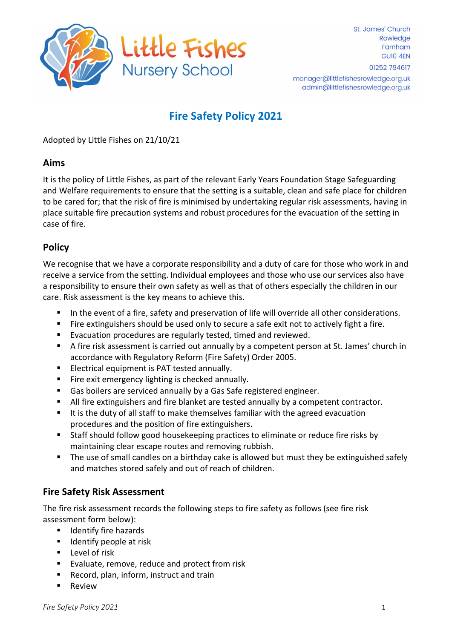

# Fire Safety Policy 2021

Adopted by Little Fishes on 21/10/21

## Aims

It is the policy of Little Fishes, as part of the relevant Early Years Foundation Stage Safeguarding and Welfare requirements to ensure that the setting is a suitable, clean and safe place for children to be cared for; that the risk of fire is minimised by undertaking regular risk assessments, having in place suitable fire precaution systems and robust procedures for the evacuation of the setting in case of fire.

# **Policy**

We recognise that we have a corporate responsibility and a duty of care for those who work in and receive a service from the setting. Individual employees and those who use our services also have a responsibility to ensure their own safety as well as that of others especially the children in our care. Risk assessment is the key means to achieve this.

- In the event of a fire, safety and preservation of life will override all other considerations.
- Fire extinguishers should be used only to secure a safe exit not to actively fight a fire.
- **Evacuation procedures are regularly tested, timed and reviewed.**
- A fire risk assessment is carried out annually by a competent person at St. James' church in accordance with Regulatory Reform (Fire Safety) Order 2005.
- **Electrical equipment is PAT tested annually.**
- Fire exit emergency lighting is checked annually.
- Gas boilers are serviced annually by a Gas Safe registered engineer.
- All fire extinguishers and fire blanket are tested annually by a competent contractor.
- It is the duty of all staff to make themselves familiar with the agreed evacuation procedures and the position of fire extinguishers.
- Staff should follow good housekeeping practices to eliminate or reduce fire risks by maintaining clear escape routes and removing rubbish.
- The use of small candles on a birthday cake is allowed but must they be extinguished safely and matches stored safely and out of reach of children.

# Fire Safety Risk Assessment

The fire risk assessment records the following steps to fire safety as follows (see fire risk assessment form below):

- **IDED** Identify fire hazards
- $\blacksquare$  Identify people at risk
- **Level of risk**
- **Evaluate, remove, reduce and protect from risk**
- Record, plan, inform, instruct and train
- Review